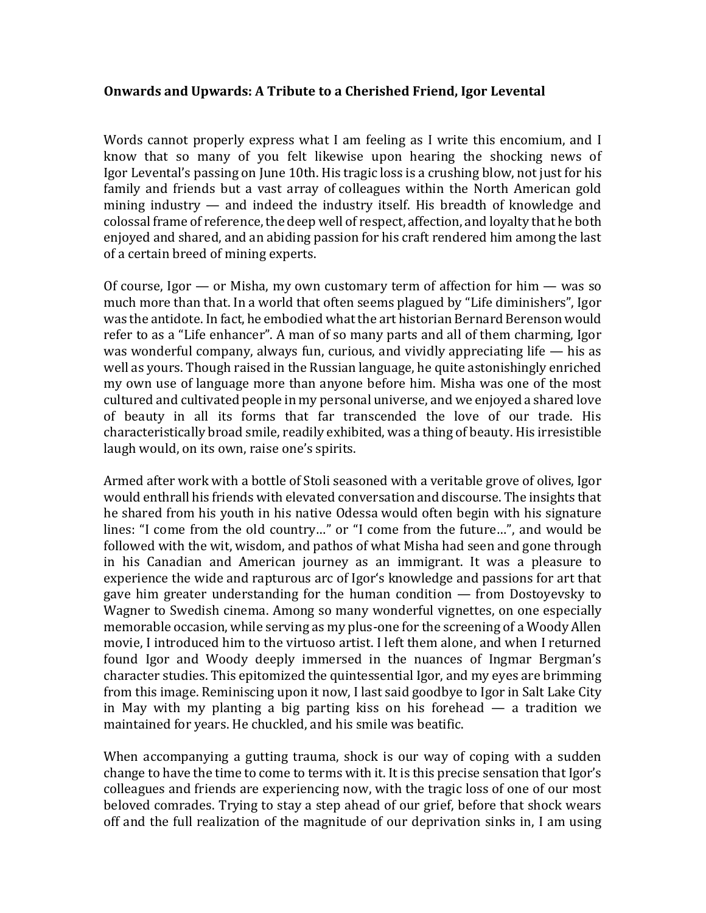## **Onwards and Upwards: A Tribute to a Cherished Friend, Igor Levental**

Words cannot properly express what I am feeling as I write this encomium, and I know that so many of you felt likewise upon hearing the shocking news of Igor Levental's passing on June 10th. His tragic loss is a crushing blow, not just for his family and friends but a vast array of colleagues within the North American gold mining industry — and indeed the industry itself. His breadth of knowledge and colossal frame of reference, the deep well of respect, affection, and loyalty that he both enjoyed and shared, and an abiding passion for his craft rendered him among the last of a certain breed of mining experts.

Of course, Igor — or Misha, my own customary term of affection for him — was so much more than that. In a world that often seems plagued by "Life diminishers", Igor was the antidote. In fact, he embodied what the art historian Bernard Berenson would refer to as a "Life enhancer". A man of so many parts and all of them charming, Igor was wonderful company, always fun, curious, and vividly appreciating life  $-$  his as well as yours. Though raised in the Russian language, he quite astonishingly enriched my own use of language more than anyone before him. Misha was one of the most cultured and cultivated people in my personal universe, and we enjoyed a shared love of beauty in all its forms that far transcended the love of our trade. His characteristically broad smile, readily exhibited, was a thing of beauty. His irresistible laugh would, on its own, raise one's spirits.

Armed after work with a bottle of Stoli seasoned with a veritable grove of olives, Igor would enthrall his friends with elevated conversation and discourse. The insights that he shared from his youth in his native Odessa would often begin with his signature lines: "I come from the old country…" or "I come from the future…", and would be followed with the wit, wisdom, and pathos of what Misha had seen and gone through in his Canadian and American journey as an immigrant. It was a pleasure to experience the wide and rapturous arc of Igor's knowledge and passions for art that gave him greater understanding for the human condition — from Dostoyevsky to Wagner to Swedish cinema. Among so many wonderful vignettes, on one especially memorable occasion, while serving as my plus-one for the screening of a Woody Allen movie, I introduced him to the virtuoso artist. I left them alone, and when I returned found Igor and Woody deeply immersed in the nuances of Ingmar Bergman's character studies. This epitomized the quintessential Igor, and my eyes are brimming from this image. Reminiscing upon it now, I last said goodbye to Igor in Salt Lake City in May with my planting a big parting kiss on his forehead — a tradition we maintained for years. He chuckled, and his smile was beatific.

When accompanying a gutting trauma, shock is our way of coping with a sudden change to have the time to come to terms with it. It is this precise sensation that Igor's colleagues and friends are experiencing now, with the tragic loss of one of our most beloved comrades. Trying to stay a step ahead of our grief, before that shock wears off and the full realization of the magnitude of our deprivation sinks in, I am using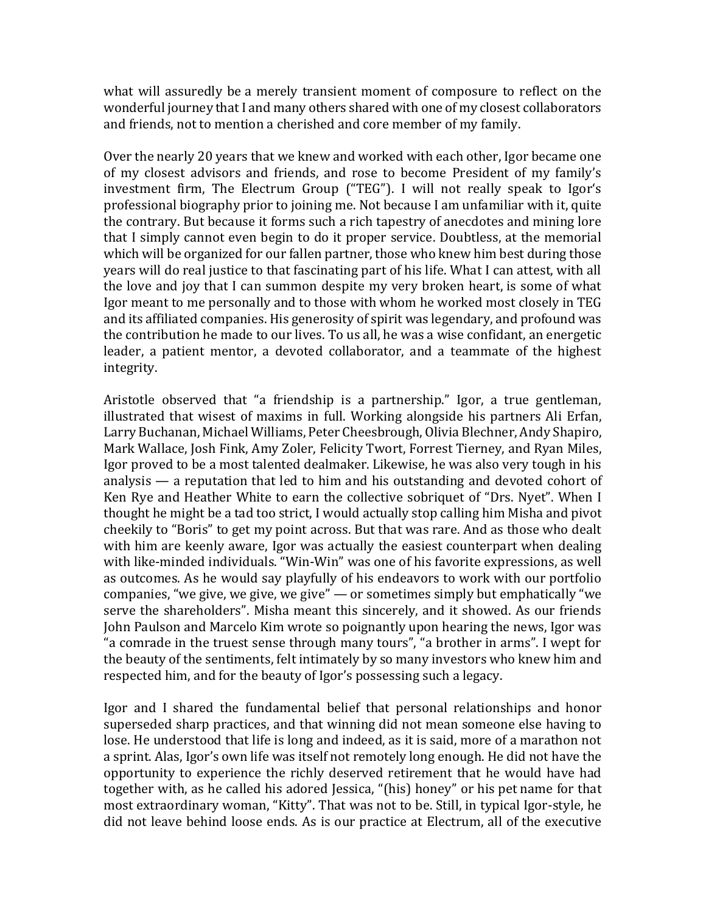what will assuredly be a merely transient moment of composure to reflect on the wonderful journey that I and many others shared with one of my closest collaborators and friends, not to mention a cherished and core member of my family.

Over the nearly 20 years that we knew and worked with each other, Igor became one of my closest advisors and friends, and rose to become President of my family's investment firm, The Electrum Group ("TEG"). I will not really speak to Igor's professional biography prior to joining me. Not because I am unfamiliar with it, quite the contrary. But because it forms such a rich tapestry of anecdotes and mining lore that I simply cannot even begin to do it proper service. Doubtless, at the memorial which will be organized for our fallen partner, those who knew him best during those years will do real justice to that fascinating part of his life. What I can attest, with all the love and joy that I can summon despite my very broken heart, is some of what Igor meant to me personally and to those with whom he worked most closely in TEG and its affiliated companies. His generosity of spirit was legendary, and profound was the contribution he made to our lives. To us all, he was a wise confidant, an energetic leader, a patient mentor, a devoted collaborator, and a teammate of the highest integrity.

Aristotle observed that "a friendship is a partnership." Igor, a true gentleman, illustrated that wisest of maxims in full. Working alongside his partners Ali Erfan, Larry Buchanan, Michael Williams, Peter Cheesbrough, Olivia Blechner, Andy Shapiro, Mark Wallace, Josh Fink, Amy Zoler, Felicity Twort, Forrest Tierney, and Ryan Miles, Igor proved to be a most talented dealmaker. Likewise, he was also very tough in his analysis — a reputation that led to him and his outstanding and devoted cohort of Ken Rye and Heather White to earn the collective sobriquet of "Drs. Nyet". When I thought he might be a tad too strict, I would actually stop calling him Misha and pivot cheekily to "Boris" to get my point across. But that was rare. And as those who dealt with him are keenly aware, Igor was actually the easiest counterpart when dealing with like-minded individuals. "Win-Win" was one of his favorite expressions, as well as outcomes. As he would say playfully of his endeavors to work with our portfolio companies, "we give, we give, we give" — or sometimes simply but emphatically "we serve the shareholders". Misha meant this sincerely, and it showed. As our friends John Paulson and Marcelo Kim wrote so poignantly upon hearing the news, Igor was "a comrade in the truest sense through many tours", "a brother in arms". I wept for the beauty of the sentiments, felt intimately by so many investors who knew him and respected him, and for the beauty of Igor's possessing such a legacy.

Igor and I shared the fundamental belief that personal relationships and honor superseded sharp practices, and that winning did not mean someone else having to lose. He understood that life is long and indeed, as it is said, more of a marathon not a sprint. Alas, Igor's own life was itself not remotely long enough. He did not have the opportunity to experience the richly deserved retirement that he would have had together with, as he called his adored Jessica, "(his) honey" or his pet name for that most extraordinary woman, "Kitty". That was not to be. Still, in typical Igor-style, he did not leave behind loose ends. As is our practice at Electrum, all of the executive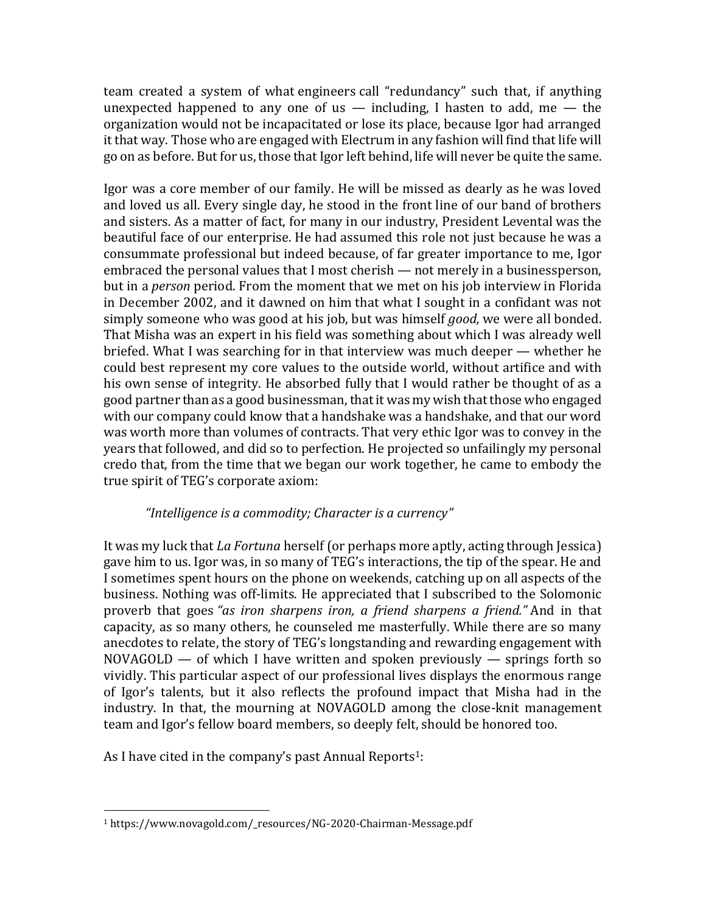team created a system of what engineers call "redundancy" such that, if anything unexpected happened to any one of us  $-$  including, I hasten to add, me  $-$  the organization would not be incapacitated or lose its place, because Igor had arranged it that way. Those who are engaged with Electrum in any fashion will find that life will go on as before. But for us, those that Igor left behind, life will never be quite the same.

Igor was a core member of our family. He will be missed as dearly as he was loved and loved us all. Every single day, he stood in the front line of our band of brothers and sisters. As a matter of fact, for many in our industry, President Levental was the beautiful face of our enterprise. He had assumed this role not just because he was a consummate professional but indeed because, of far greater importance to me, Igor embraced the personal values that I most cherish — not merely in a businessperson, but in a *person* period. From the moment that we met on his job interview in Florida in December 2002, and it dawned on him that what I sought in a confidant was not simply someone who was good at his job, but was himself *good,* we were all bonded. That Misha was an expert in his field was something about which I was already well briefed. What I was searching for in that interview was much deeper — whether he could best represent my core values to the outside world, without artifice and with his own sense of integrity. He absorbed fully that I would rather be thought of as a good partner than as a good businessman, that it was my wish that those who engaged with our company could know that a handshake was a handshake, and that our word was worth more than volumes of contracts. That very ethic Igor was to convey in the years that followed, and did so to perfection. He projected so unfailingly my personal credo that, from the time that we began our work together, he came to embody the true spirit of TEG's corporate axiom:

## *"Intelligence is a commodity; Character is a currency"*

It was my luck that *La Fortuna* herself (or perhaps more aptly, acting through Jessica) gave him to us. Igor was, in so many of TEG's interactions, the tip of the spear. He and I sometimes spent hours on the phone on weekends, catching up on all aspects of the business. Nothing was off-limits. He appreciated that I subscribed to the Solomonic proverb that goes *"as iron sharpens iron, a friend sharpens a friend."* And in that capacity, as so many others, he counseled me masterfully. While there are so many anecdotes to relate, the story of TEG's longstanding and rewarding engagement with  $NOVAGOLD$  — of which I have written and spoken previously — springs forth so vividly. This particular aspect of our professional lives displays the enormous range of Igor's talents, but it also reflects the profound impact that Misha had in the industry. In that, the mourning at NOVAGOLD among the close-knit management team and Igor's fellow board members, so deeply felt, should be honored too.

As I have cited in the company's past Annual Reports<sup>1</sup>:

<sup>1</sup> https://www.novagold.com/\_resources/NG-2020-Chairman-Message.pdf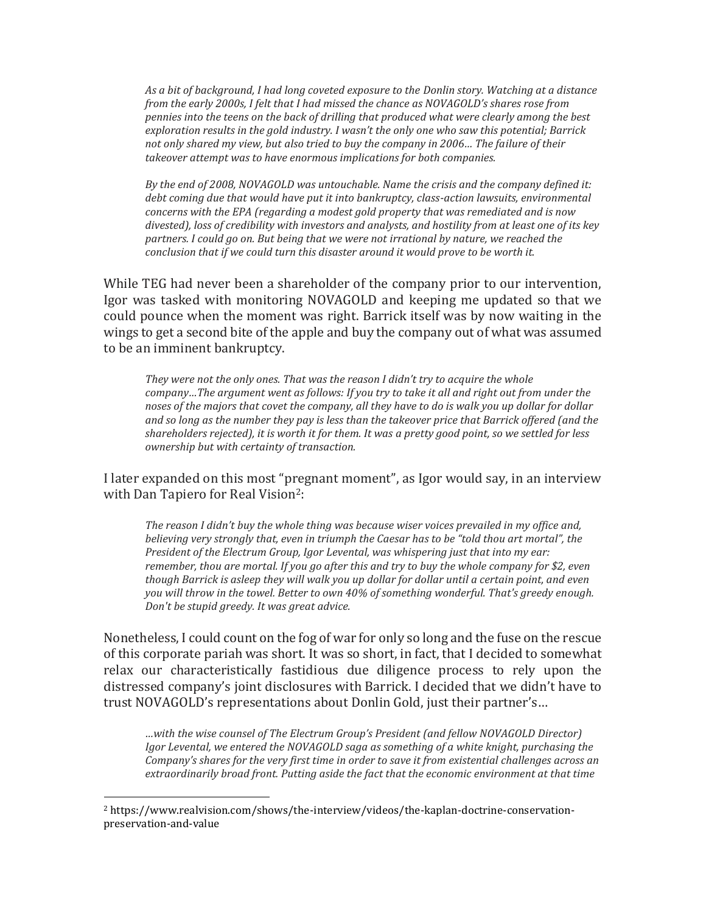*As a bit of background, I had long coveted exposure to the Donlin story. Watching at a distance from the early 2000s, I felt that I had missed the chance as NOVAGOLD's shares rose from pennies into the teens on the back of drilling that produced what were clearly among the best exploration results in the gold industry. I wasn't the only one who saw this potential; Barrick not only shared my view, but also tried to buy the company in 2006… The failure of their takeover attempt was to have enormous implications for both companies.*

*By the end of 2008, NOVAGOLD was untouchable. Name the crisis and the company defined it: debt coming due that would have put it into bankruptcy, class-action lawsuits, environmental concerns with the EPA (regarding a modest gold property that was remediated and is now divested), loss of credibility with investors and analysts, and hostility from at least one of its key partners. I could go on. But being that we were not irrational by nature, we reached the conclusion that if we could turn this disaster around it would prove to be worth it.*

While TEG had never been a shareholder of the company prior to our intervention, Igor was tasked with monitoring NOVAGOLD and keeping me updated so that we could pounce when the moment was right. Barrick itself was by now waiting in the wings to get a second bite of the apple and buy the company out of what was assumed to be an imminent bankruptcy.

*They were not the only ones. That was the reason I didn't try to acquire the whole company…The argument went as follows: If you try to take it all and right out from under the noses of the majors that covet the company, all they have to do is walk you up dollar for dollar and so long as the number they pay is less than the takeover price that Barrick offered (and the shareholders rejected), it is worth it for them. It was a pretty good point, so we settled for less ownership but with certainty of transaction.*

I later expanded on this most "pregnant moment", as Igor would say, in an interview with Dan Tapiero for Real Vision<sup>2</sup>:

*The reason I didn't buy the whole thing was because wiser voices prevailed in my office and, believing very strongly that, even in triumph the Caesar has to be "told thou art mortal", the President of the Electrum Group, Igor Levental, was whispering just that into my ear: remember, thou are mortal. If you go after this and try to buy the whole company for \$2, even though Barrick is asleep they will walk you up dollar for dollar until a certain point, and even you will throw in the towel. Better to own 40% of something wonderful. That's greedy enough. Don't be stupid greedy. It was great advice.*

Nonetheless, I could count on the fog of war for only so long and the fuse on the rescue of this corporate pariah was short. It was so short, in fact, that I decided to somewhat relax our characteristically fastidious due diligence process to rely upon the distressed company's joint disclosures with Barrick. I decided that we didn't have to trust NOVAGOLD's representations about Donlin Gold, just their partner's…

*…with the wise counsel of The Electrum Group's President (and fellow NOVAGOLD Director) Igor Levental, we entered the NOVAGOLD saga as something of a white knight, purchasing the Company's shares for the very first time in order to save it from existential challenges across an extraordinarily broad front. Putting aside the fact that the economic environment at that time* 

<sup>2</sup> https://www.realvision.com/shows/the-interview/videos/the-kaplan-doctrine-conservationpreservation-and-value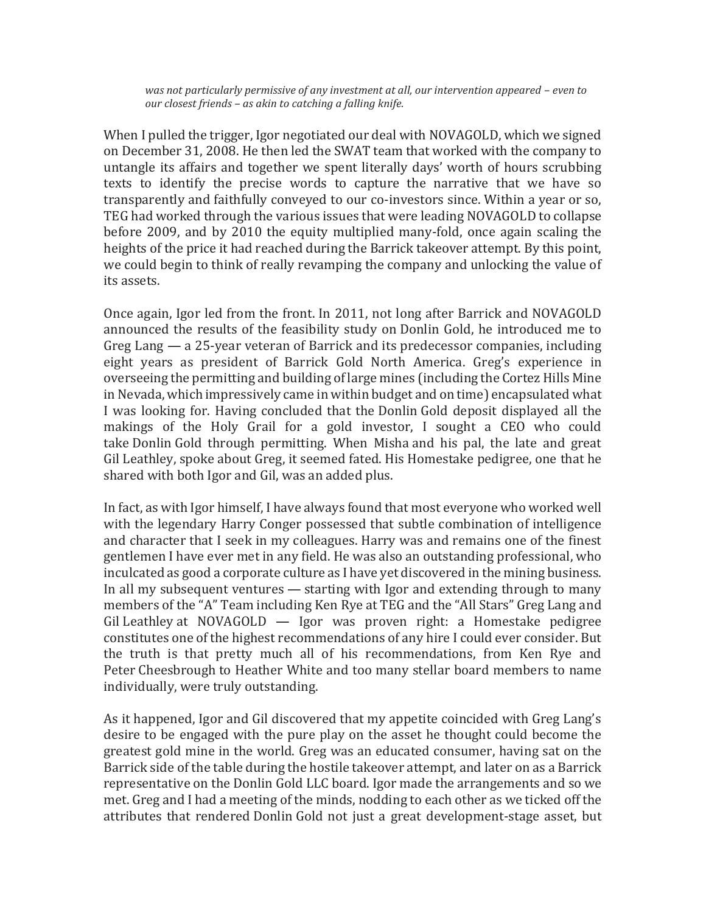*was not particularly permissive of any investment at all, our intervention appeared – even to our closest friends – as akin to catching a falling knife.*

When I pulled the trigger, Igor negotiated our deal with NOVAGOLD, which we signed on December 31, 2008. He then led the SWAT team that worked with the company to untangle its affairs and together we spent literally days' worth of hours scrubbing texts to identify the precise words to capture the narrative that we have so transparently and faithfully conveyed to our co-investors since. Within a year or so, TEG had worked through the various issues that were leading NOVAGOLD to collapse before 2009, and by 2010 the equity multiplied many-fold, once again scaling the heights of the price it had reached during the Barrick takeover attempt. By this point, we could begin to think of really revamping the company and unlocking the value of its assets.

Once again, Igor led from the front. In 2011, not long after Barrick and NOVAGOLD announced the results of the feasibility study on Donlin Gold, he introduced me to Greg Lang — a 25-year veteran of Barrick and its predecessor companies, including eight years as president of Barrick Gold North America. Greg's experience in overseeing the permitting and building of large mines (including the Cortez Hills Mine in Nevada, which impressively came in within budget and on time) encapsulated what I was looking for. Having concluded that the Donlin Gold deposit displayed all the makings of the Holy Grail for a gold investor, I sought a CEO who could take Donlin Gold through permitting. When Misha and his pal, the late and great Gil Leathley, spoke about Greg, it seemed fated. His Homestake pedigree, one that he shared with both Igor and Gil, was an added plus.

In fact, as with Igor himself, I have always found that most everyone who worked well with the legendary Harry Conger possessed that subtle combination of intelligence and character that I seek in my colleagues. Harry was and remains one of the finest gentlemen I have ever met in any field. He was also an outstanding professional, who inculcated as good a corporate culture as I have yet discovered in the mining business. In all my subsequent ventures — starting with Igor and extending through to many members of the "A" Team including Ken Rye at TEG and the "All Stars" Greg Lang and Gil Leathley at NOVAGOLD — Igor was proven right: a Homestake pedigree constitutes one of the highest recommendations of any hire I could ever consider. But the truth is that pretty much all of his recommendations, from Ken Rye and Peter Cheesbrough to Heather White and too many stellar board members to name individually, were truly outstanding.

As it happened, Igor and Gil discovered that my appetite coincided with Greg Lang's desire to be engaged with the pure play on the asset he thought could become the greatest gold mine in the world. Greg was an educated consumer, having sat on the Barrick side of the table during the hostile takeover attempt, and later on as a Barrick representative on the Donlin Gold LLC board. Igor made the arrangements and so we met. Greg and I had a meeting of the minds, nodding to each other as we ticked off the attributes that rendered Donlin Gold not just a great development-stage asset, but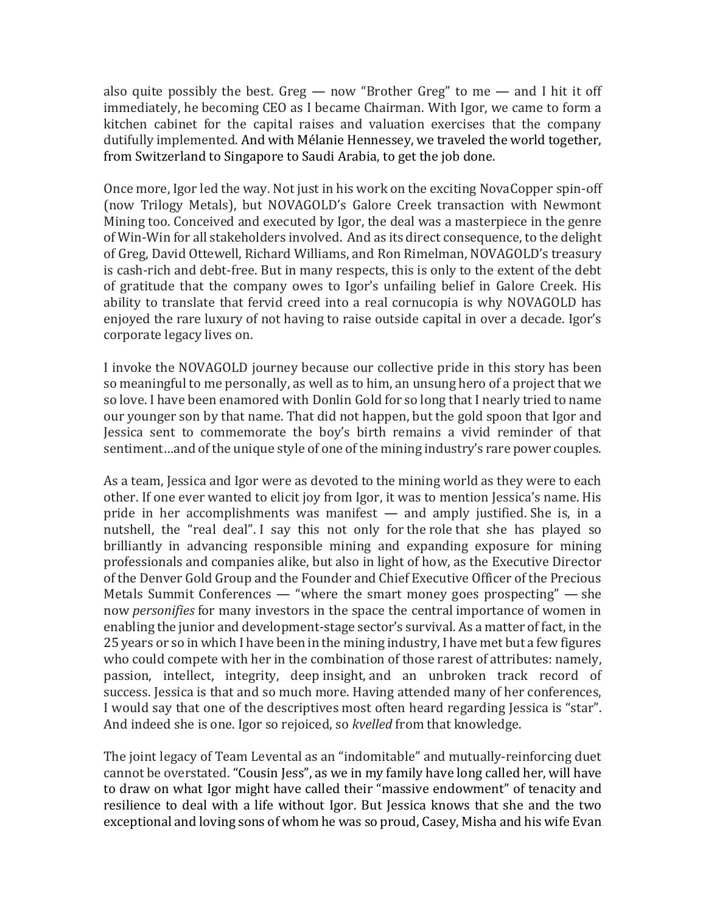also quite possibly the best. Greg — now "Brother Greg" to me — and I hit it off immediately, he becoming CEO as I became Chairman. With Igor, we came to form a kitchen cabinet for the capital raises and valuation exercises that the company dutifully implemented. And with Mélanie Hennessey, we traveled the world together, from Switzerland to Singapore to Saudi Arabia, to get the job done.

Once more, Igor led the way. Not just in his work on the exciting NovaCopper spin-off (now Trilogy Metals), but NOVAGOLD's Galore Creek transaction with Newmont Mining too. Conceived and executed by Igor, the deal was a masterpiece in the genre of Win-Win for all stakeholders involved. And as its direct consequence, to the delight of Greg, David Ottewell, Richard Williams, and Ron Rimelman, NOVAGOLD's treasury is cash-rich and debt-free. But in many respects, this is only to the extent of the debt of gratitude that the company owes to Igor's unfailing belief in Galore Creek. His ability to translate that fervid creed into a real cornucopia is why NOVAGOLD has enjoyed the rare luxury of not having to raise outside capital in over a decade. Igor's corporate legacy lives on.

I invoke the NOVAGOLD journey because our collective pride in this story has been so meaningful to me personally, as well as to him, an unsung hero of a project that we so love. I have been enamored with Donlin Gold for so long that I nearly tried to name our younger son by that name. That did not happen, but the gold spoon that Igor and Jessica sent to commemorate the boy's birth remains a vivid reminder of that sentiment…and of the unique style of one of the mining industry's rare power couples.

As a team, Jessica and Igor were as devoted to the mining world as they were to each other. If one ever wanted to elicit joy from Igor, it was to mention Jessica's name. His pride in her accomplishments was manifest — and amply justified. She is, in a nutshell, the "real deal". I say this not only for the role that she has played so brilliantly in advancing responsible mining and expanding exposure for mining professionals and companies alike, but also in light of how, as the Executive Director of the Denver Gold Group and the Founder and Chief Executive Officer of the Precious Metals Summit Conferences — "where the smart money goes prospecting" — she now *personifies* for many investors in the space the central importance of women in enabling the junior and development-stage sector's survival. As a matter of fact, in the 25 years or so in which I have been in the mining industry, I have met but a few figures who could compete with her in the combination of those rarest of attributes: namely, passion, intellect, integrity, deep insight, and an unbroken track record of success. Jessica is that and so much more. Having attended many of her conferences, I would say that one of the descriptives most often heard regarding Jessica is "star". And indeed she is one. Igor so rejoiced, so *kvelled* from that knowledge.

The joint legacy of Team Levental as an "indomitable" and mutually-reinforcing duet cannot be overstated. "Cousin Jess", as we in my family have long called her, will have to draw on what Igor might have called their "massive endowment" of tenacity and resilience to deal with a life without Igor. But Jessica knows that she and the two exceptional and loving sons of whom he was so proud, Casey, Misha and his wife Evan